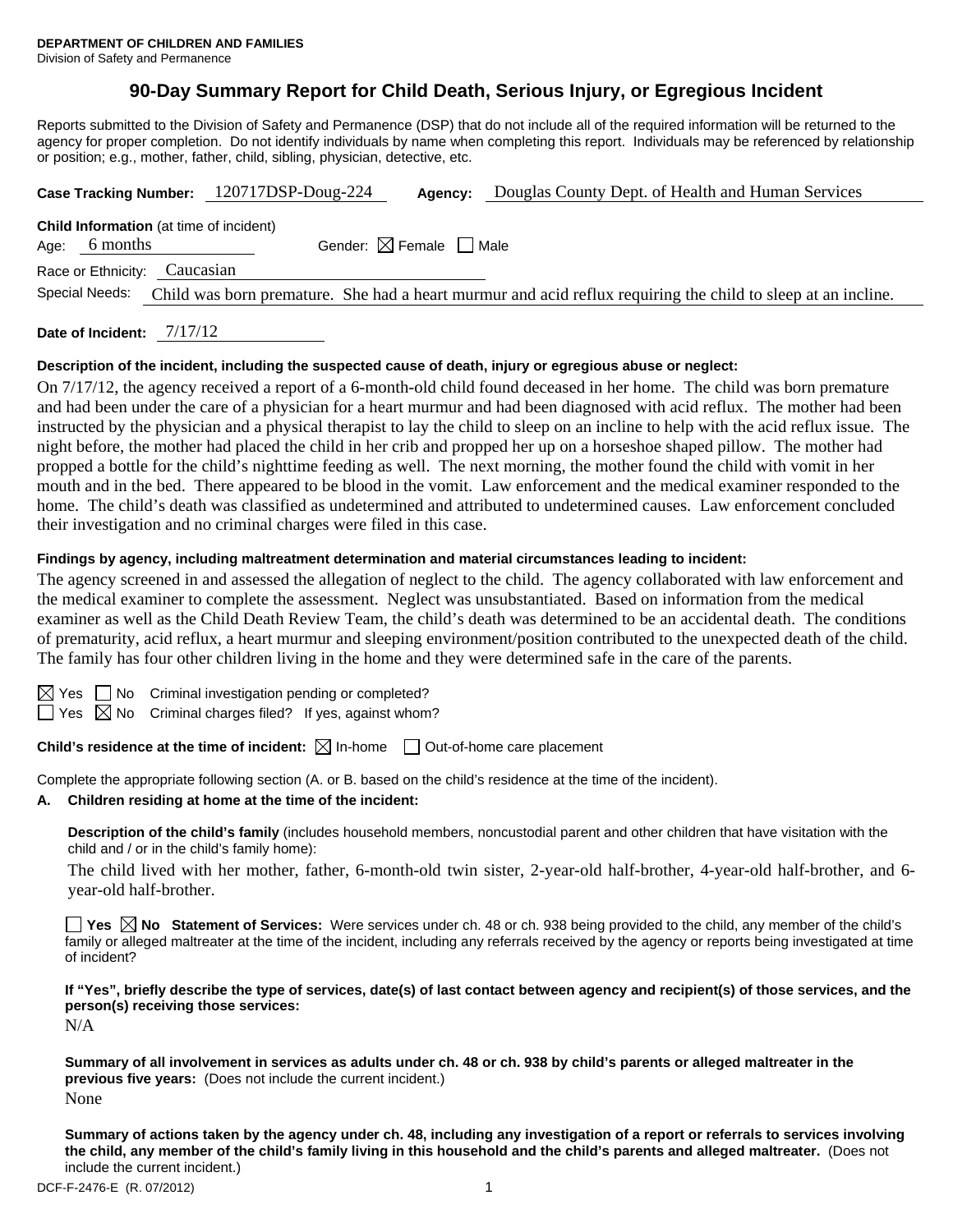# **90-Day Summary Report for Child Death, Serious Injury, or Egregious Incident**

Reports submitted to the Division of Safety and Permanence (DSP) that do not include all of the required information will be returned to the agency for proper completion. Do not identify individuals by name when completing this report. Individuals may be referenced by relationship or position; e.g., mother, father, child, sibling, physician, detective, etc.

|                                                                 | Case Tracking Number: 120717DSP-Doug-224                                                                     | Agency:                                | Douglas County Dept. of Health and Human Services |  |  |  |  |  |
|-----------------------------------------------------------------|--------------------------------------------------------------------------------------------------------------|----------------------------------------|---------------------------------------------------|--|--|--|--|--|
| <b>Child Information</b> (at time of incident)<br>Age: 6 months |                                                                                                              | Gender: $\boxtimes$ Female $\Box$ Male |                                                   |  |  |  |  |  |
| Race or Ethnicity: Caucasian                                    |                                                                                                              |                                        |                                                   |  |  |  |  |  |
| Special Needs:                                                  | Child was born premature. She had a heart murmur and acid reflux requiring the child to sleep at an incline. |                                        |                                                   |  |  |  |  |  |
|                                                                 |                                                                                                              |                                        |                                                   |  |  |  |  |  |

**Date of Incident:** 7/17/12

## **Description of the incident, including the suspected cause of death, injury or egregious abuse or neglect:**

On 7/17/12, the agency received a report of a 6-month-old child found deceased in her home. The child was born premature and had been under the care of a physician for a heart murmur and had been diagnosed with acid reflux. The mother had been instructed by the physician and a physical therapist to lay the child to sleep on an incline to help with the acid reflux issue. The night before, the mother had placed the child in her crib and propped her up on a horseshoe shaped pillow. The mother had propped a bottle for the child's nighttime feeding as well. The next morning, the mother found the child with vomit in her mouth and in the bed. There appeared to be blood in the vomit. Law enforcement and the medical examiner responded to the home. The child's death was classified as undetermined and attributed to undetermined causes. Law enforcement concluded their investigation and no criminal charges were filed in this case.

## **Findings by agency, including maltreatment determination and material circumstances leading to incident:**

The agency screened in and assessed the allegation of neglect to the child. The agency collaborated with law enforcement and the medical examiner to complete the assessment. Neglect was unsubstantiated. Based on information from the medical examiner as well as the Child Death Review Team, the child's death was determined to be an accidental death. The conditions of prematurity, acid reflux, a heart murmur and sleeping environment/position contributed to the unexpected death of the child. The family has four other children living in the home and they were determined safe in the care of the parents.

| ×<br>I |
|--------|
|        |

 $\Box$  No Criminal investigation pending or completed?

 $\Box$  Yes  $\boxtimes$  No Criminal charges filed? If yes, against whom?

**Child's residence at the time of incident:**  $\boxtimes$  In-home  $\Box$  Out-of-home care placement

Complete the appropriate following section (A. or B. based on the child's residence at the time of the incident).

# **A. Children residing at home at the time of the incident:**

**Description of the child's family** (includes household members, noncustodial parent and other children that have visitation with the child and / or in the child's family home):

The child lived with her mother, father, 6-month-old twin sister, 2-year-old half-brother, 4-year-old half-brother, and 6 year-old half-brother.

■ Yes **No** Statement of Services: Were services under ch. 48 or ch. 938 being provided to the child, any member of the child's family or alleged maltreater at the time of the incident, including any referrals received by the agency or reports being investigated at time of incident?

**If "Yes", briefly describe the type of services, date(s) of last contact between agency and recipient(s) of those services, and the person(s) receiving those services:** 

N/A

**Summary of all involvement in services as adults under ch. 48 or ch. 938 by child's parents or alleged maltreater in the previous five years:** (Does not include the current incident.) None

**Summary of actions taken by the agency under ch. 48, including any investigation of a report or referrals to services involving the child, any member of the child's family living in this household and the child's parents and alleged maltreater.** (Does not include the current incident.)